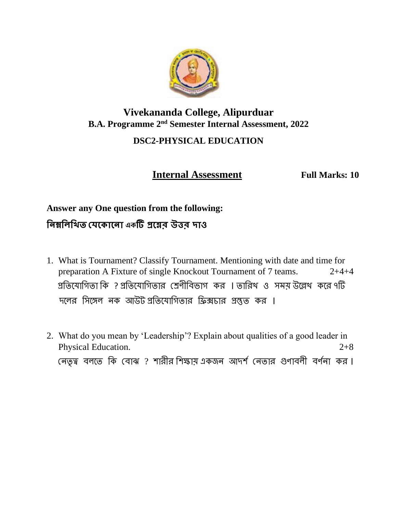

# **Vivekananda College, Alipurduar B.A. Programme 2nd Semester Internal Assessment, 2022 DSC2-PHYSICAL EDUCATION**

 **Internal Assessment Full Marks: 10**

# **Answer any One question from the following: নিম্ননিনিত যেক োকিো একটি প্রকের উত্তর দোও**

- 1. What is Tournament? Classify Tournament. Mentioning with date and time for preparation A Fixture of single Knockout Tournament of 7 teams. 2+4+4 প্রতিযোগিতা কি ? প্রতিযোগিতার শ্রেণীবিভাগ কর । তারিখ ও সময় উল্লেখ করে ৭টি দলের সিঙ্গেল নক আউটএপ্রতিযোগিতার ফ্রিক্সচার প্রস্তুত কর ।
- 2. What do you mean by 'Leadership'? Explain about qualities of a good leader in Physical Education. 2+8 নেতৃত্ব বলতে কি বোঝ ? শারীর শিক্ষায় একজন আদর্শ নেতার গুণাবলী বর্ণনা কর।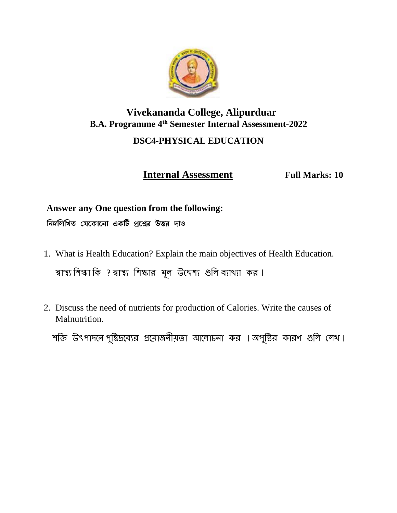

# **Vivekananda College, Alipurduar B.A. Programme 4th Semester Internal Assessment-2022 DSC4-PHYSICAL EDUCATION**

**Internal Assessment** Full Marks: 10

## **Answer any One question from the following: নিম্ননিনিত যেককোকিো একটি প্রকের উত্তর দোও**

- 1. What is Health Education? Explain the main objectives of Health Education. স্বাস্থ্য শিক্ষা কি ? স্বাস্থ্য শিক্ষার মূল উদ্দেশ্য গুলি ব্যাখ্যা কর।
- 2. Discuss the need of nutrients for production of Calories. Write the causes of Malnutrition.

শক্তি উৎপাদনে পুষ্টিদ্রব্যের প্রয়োজনীয়তা আলোচনা কর । অপুষ্টির কারণ গুলি লেখ ।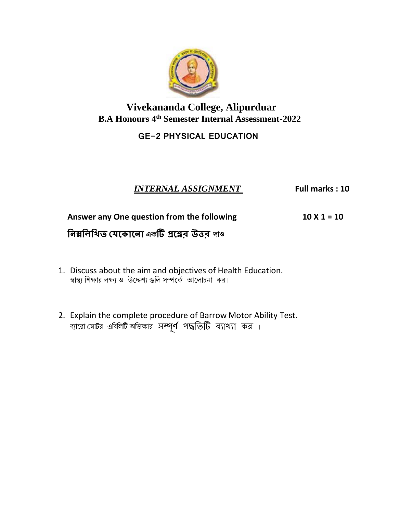

**Vivekananda College, Alipurduar B.A Honours 4th Semester Internal Assessment-2022**

### **GE-2 PHYSICAL EDUCATION**

### *INTERNAL ASSIGNMENT* **Full marks : 10**

#### **Answer any One question from the following 10 X 1 = 10**

# **নিম্ননিনিত যেক োকিো একটি প্রকের উত্তর দোও**

- 1. Discuss about the aim and objectives of Health Education. স্বাস্থ্য শিক্ষার লক্ষ্য ও উদ্দেশ্য গুলি সম্পর্কে আলোচনা কর।
- 2. Explain the complete procedure of Barrow Motor Ability Test. ব্যারো মোটর এবিলিটি অভিক্ষার সম্পূর্ণ পদ্ধতিটি ব্যাথ্যা কর।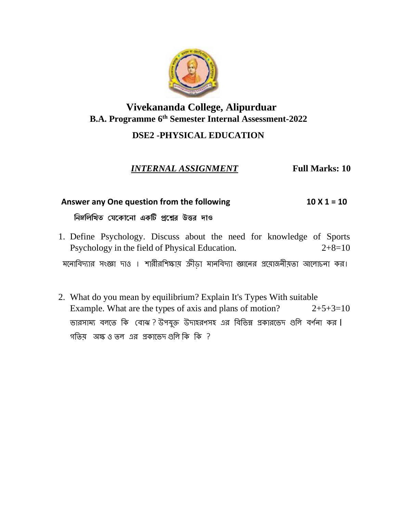

### **Vivekananda College, Alipurduar B.A. Programme 6 th Semester Internal Assessment-2022**

### **DSE2 -PHYSICAL EDUCATION**

*INTERNAL ASSIGNMENT* **Full Marks: 10**

## Answer any One question from the following 10 X 1 = 10  **নিম্ননিনিত যেককোকিো একটি প্রকের উত্তর দোও**

- 1. Define Psychology. Discuss about the need for knowledge of Sports Psychology in the field of Physical Education. 2+8=10 মনোবিদ্যার সংজ্ঞা দাও । শারীরশিক্ষায় ক্রীডা মানবিদ্যা জ্ঞানের প্রয়োজনীয়তা আলোচনা কর।
- 2. What do you mean by equilibrium? Explain It's Types With suitable Example. What are the types of axis and plans of motion?  $2+5+3=10$ ভারসাম্য বলতে কি বোঝ ? উপযুক্ত উদাহরণসহ এর বিভিন্ন প্রকারভেদ গুলি বর্ণনা কর। গতিয় অক্ষ ও তল এর প্রকাভেদ গুলি কি কি ?